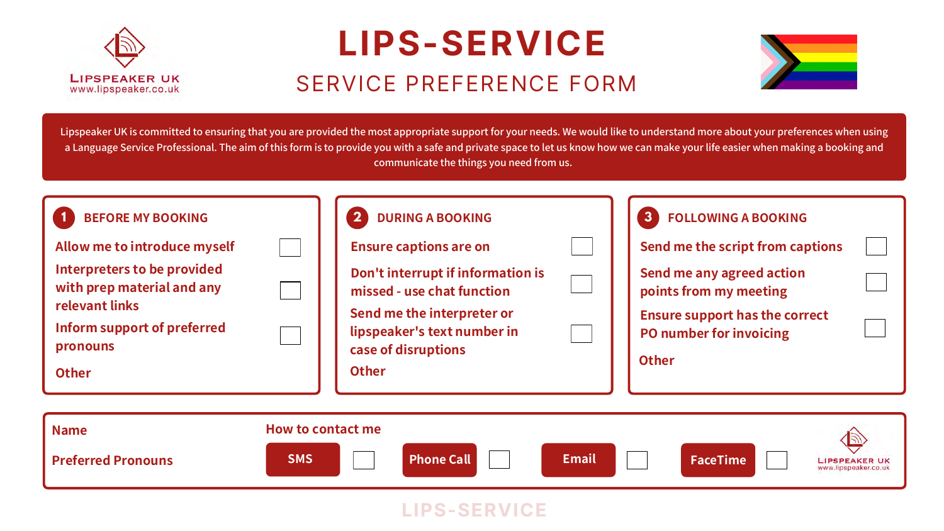Lipspeaker UK is committed to ensuring that you are provided the most appropriate support for your needs. We would like to understand more about your preferences when using a Language Service Professional. The aim of this form is to provide you with a safe and private space to let us know how we can make your life easier when making a booking and communicate the things you need from us.







**LIPSPEAKER UK** 



**LIPSPEAKER UK** www.lipspeaker.co.uk

| 3<br><b>FOLLOWING A BOOKING</b>                                         |  |
|-------------------------------------------------------------------------|--|
| Send me the script from captions                                        |  |
| Send me any agreed action<br>points from my meeting                     |  |
| <b>Ensure support has the correct</b><br><b>PO number for invoicing</b> |  |
| <b>Other</b>                                                            |  |
|                                                                         |  |